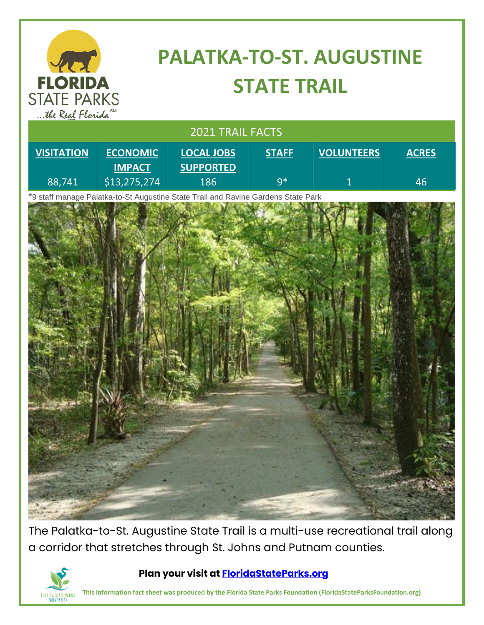| <b>PALATKA-TO-ST. AUGUSTINE</b><br>421                      |                                  |                                                                                   |              |                   |              |
|-------------------------------------------------------------|----------------------------------|-----------------------------------------------------------------------------------|--------------|-------------------|--------------|
| <b>FLORIDA</b><br><b>STATE PARKS</b><br>the Real Florida SM |                                  | <b>STATE TRAIL</b>                                                                |              |                   |              |
| 2021 TRAIL FACTS                                            |                                  |                                                                                   |              |                   |              |
| <b>VISITATION</b>                                           | <b>ECONOMIC</b><br><b>IMPACT</b> | <b>LOCAL JOBS</b><br><b>SUPPORTED</b>                                             | <b>STAFF</b> | <b>VOLUNTEERS</b> | <b>ACRES</b> |
| 88,741                                                      | \$13,275,274                     | 186                                                                               | $9*$         | 1                 | 46           |
|                                                             |                                  | *9 staff manage Palatka-to-St Augustine State Trail and Ravine Gardens State Park |              |                   |              |

The Palatka-to-St. Augustine State Trail is a multi-use recreational trail along a corridor that stretches through St. Johns and Putnam counties.



## **Plan your visit at [FloridaStateParks.org](http://www.floridastateparks.org/)**

**This information fact sheet was produced by the Florida State Parks Foundation (FloridaStateParksFoundation.org)**